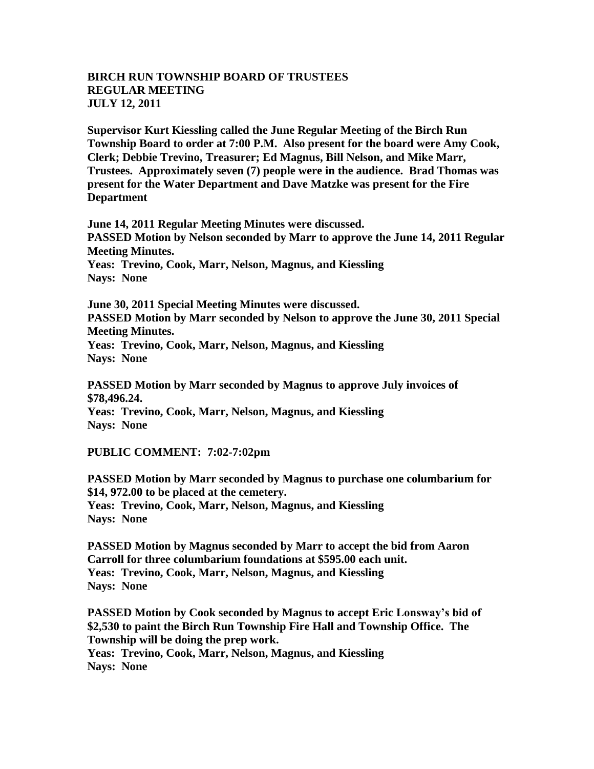## **BIRCH RUN TOWNSHIP BOARD OF TRUSTEES REGULAR MEETING JULY 12, 2011**

**Supervisor Kurt Kiessling called the June Regular Meeting of the Birch Run Township Board to order at 7:00 P.M. Also present for the board were Amy Cook, Clerk; Debbie Trevino, Treasurer; Ed Magnus, Bill Nelson, and Mike Marr, Trustees. Approximately seven (7) people were in the audience. Brad Thomas was present for the Water Department and Dave Matzke was present for the Fire Department**

**June 14, 2011 Regular Meeting Minutes were discussed. PASSED Motion by Nelson seconded by Marr to approve the June 14, 2011 Regular Meeting Minutes. Yeas: Trevino, Cook, Marr, Nelson, Magnus, and Kiessling Nays: None** 

**June 30, 2011 Special Meeting Minutes were discussed. PASSED Motion by Marr seconded by Nelson to approve the June 30, 2011 Special Meeting Minutes. Yeas: Trevino, Cook, Marr, Nelson, Magnus, and Kiessling Nays: None**

**PASSED Motion by Marr seconded by Magnus to approve July invoices of \$78,496.24. Yeas: Trevino, Cook, Marr, Nelson, Magnus, and Kiessling Nays: None** 

**PUBLIC COMMENT: 7:02-7:02pm**

**PASSED Motion by Marr seconded by Magnus to purchase one columbarium for \$14, 972.00 to be placed at the cemetery. Yeas: Trevino, Cook, Marr, Nelson, Magnus, and Kiessling Nays: None** 

**PASSED Motion by Magnus seconded by Marr to accept the bid from Aaron Carroll for three columbarium foundations at \$595.00 each unit. Yeas: Trevino, Cook, Marr, Nelson, Magnus, and Kiessling Nays: None** 

**PASSED Motion by Cook seconded by Magnus to accept Eric Lonsway's bid of \$2,530 to paint the Birch Run Township Fire Hall and Township Office. The Township will be doing the prep work. Yeas: Trevino, Cook, Marr, Nelson, Magnus, and Kiessling Nays: None**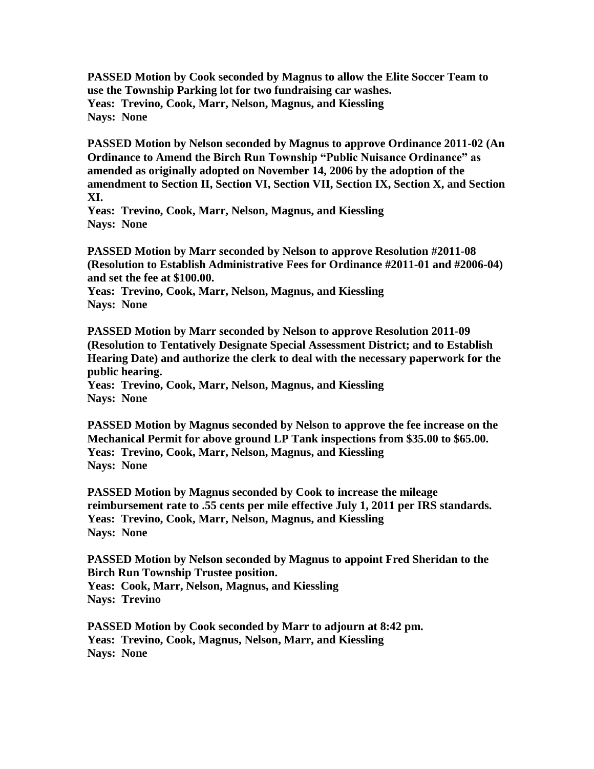**PASSED Motion by Cook seconded by Magnus to allow the Elite Soccer Team to use the Township Parking lot for two fundraising car washes. Yeas: Trevino, Cook, Marr, Nelson, Magnus, and Kiessling Nays: None** 

**PASSED Motion by Nelson seconded by Magnus to approve Ordinance 2011-02 (An Ordinance to Amend the Birch Run Township "Public Nuisance Ordinance" as amended as originally adopted on November 14, 2006 by the adoption of the amendment to Section II, Section VI, Section VII, Section IX, Section X, and Section XI.** 

**Yeas: Trevino, Cook, Marr, Nelson, Magnus, and Kiessling Nays: None** 

**PASSED Motion by Marr seconded by Nelson to approve Resolution #2011-08 (Resolution to Establish Administrative Fees for Ordinance #2011-01 and #2006-04) and set the fee at \$100.00.**

**Yeas: Trevino, Cook, Marr, Nelson, Magnus, and Kiessling Nays: None** 

**PASSED Motion by Marr seconded by Nelson to approve Resolution 2011-09 (Resolution to Tentatively Designate Special Assessment District; and to Establish Hearing Date) and authorize the clerk to deal with the necessary paperwork for the public hearing.**

**Yeas: Trevino, Cook, Marr, Nelson, Magnus, and Kiessling Nays: None** 

**PASSED Motion by Magnus seconded by Nelson to approve the fee increase on the Mechanical Permit for above ground LP Tank inspections from \$35.00 to \$65.00. Yeas: Trevino, Cook, Marr, Nelson, Magnus, and Kiessling Nays: None** 

**PASSED Motion by Magnus seconded by Cook to increase the mileage reimbursement rate to .55 cents per mile effective July 1, 2011 per IRS standards. Yeas: Trevino, Cook, Marr, Nelson, Magnus, and Kiessling Nays: None** 

**PASSED Motion by Nelson seconded by Magnus to appoint Fred Sheridan to the Birch Run Township Trustee position. Yeas: Cook, Marr, Nelson, Magnus, and Kiessling Nays: Trevino**

**PASSED Motion by Cook seconded by Marr to adjourn at 8:42 pm. Yeas: Trevino, Cook, Magnus, Nelson, Marr, and Kiessling Nays: None**